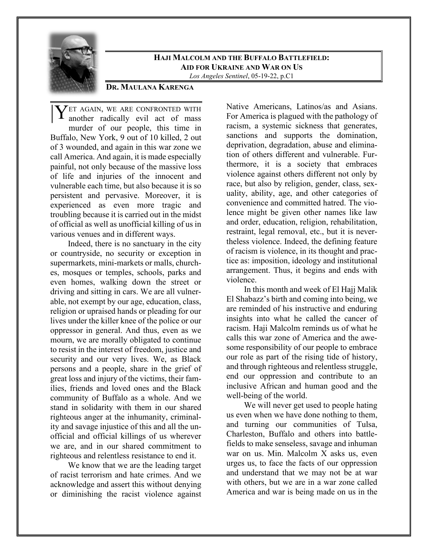

# **HAJI MALCOLM AND THE BUFFALO BATTLEFIELD: AID FOR UKRAINE AND WAR ON US**

*Los Angeles Sentinel*, 05-19-22, p.C1

## **DR. MAULANA KARENGA**

**ET AGAIN, WE ARE CONFRONTED WITH** another radically evil act of mass another radically evil act of mass murder of our people, this time in Buffalo, New York, 9 out of 10 killed, 2 out of 3 wounded, and again in this war zone we call America. And again, it is made especially painful, not only because of the massive loss of life and injuries of the innocent and vulnerable each time, but also because it is so persistent and pervasive. Moreover, it is experienced as even more tragic and troubling because it is carried out in the midst of official as well as unofficial killing of us in various venues and in different ways.

Indeed, there is no sanctuary in the city or countryside, no security or exception in supermarkets, mini-markets or malls, churches, mosques or temples, schools, parks and even homes, walking down the street or driving and sitting in cars. We are all vulnerable, not exempt by our age, education, class, religion or upraised hands or pleading for our lives under the killer knee of the police or our oppressor in general. And thus, even as we mourn, we are morally obligated to continue to resist in the interest of freedom, justice and security and our very lives. We, as Black persons and a people, share in the grief of great loss and injury of the victims, their families, friends and loved ones and the Black community of Buffalo as a whole. And we stand in solidarity with them in our shared righteous anger at the inhumanity, criminality and savage injustice of this and all the unofficial and official killings of us wherever we are, and in our shared commitment to righteous and relentless resistance to end it.

We know that we are the leading target of racist terrorism and hate crimes. And we acknowledge and assert this without denying or diminishing the racist violence against

Native Americans, Latinos/as and Asians. For America is plagued with the pathology of racism, a systemic sickness that generates, sanctions and supports the domination, deprivation, degradation, abuse and elimination of others different and vulnerable. Furthermore, it is a society that embraces violence against others different not only by race, but also by religion, gender, class, sexuality, ability, age, and other categories of convenience and committed hatred. The violence might be given other names like law and order, education, religion, rehabilitation, restraint, legal removal, etc., but it is nevertheless violence. Indeed, the defining feature of racism is violence, in its thought and practice as: imposition, ideology and institutional arrangement. Thus, it begins and ends with violence.

In this month and week of El Hajj Malik El Shabazz's birth and coming into being, we are reminded of his instructive and enduring insights into what he called the cancer of racism. Haji Malcolm reminds us of what he calls this war zone of America and the awesome responsibility of our people to embrace our role as part of the rising tide of history, and through righteous and relentless struggle, end our oppression and contribute to an inclusive African and human good and the well-being of the world.

We will never get used to people hating us even when we have done nothing to them, and turning our communities of Tulsa, Charleston, Buffalo and others into battlefields to make senseless, savage and inhuman war on us. Min. Malcolm X asks us, even urges us, to face the facts of our oppression and understand that we may not be at war with others, but we are in a war zone called America and war is being made on us in the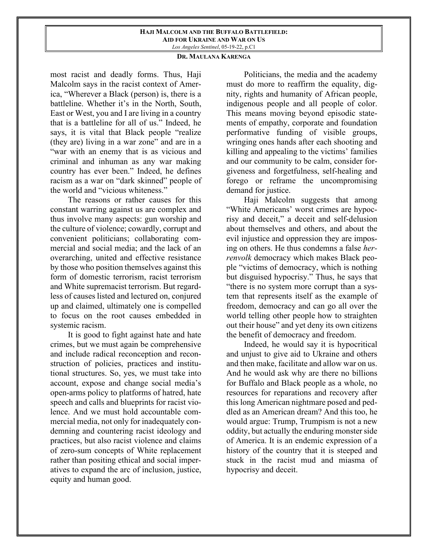#### **HAJI MALCOLM AND THE BUFFALO BATTLEFIELD: AID FOR UKRAINE AND WAR ON US** *Los Angeles Sentinel*, 05-19-22, p.C1

## **DR. MAULANA KARENGA**

most racist and deadly forms. Thus, Haji Malcolm says in the racist context of America, "Wherever a Black (person) is, there is a battleline. Whether it's in the North, South, East or West, you and I are living in a country that is a battleline for all of us." Indeed, he says, it is vital that Black people "realize (they are) living in a war zone" and are in a "war with an enemy that is as vicious and criminal and inhuman as any war making country has ever been." Indeed, he defines racism as a war on "dark skinned" people of the world and "vicious whiteness."

The reasons or rather causes for this constant warring against us are complex and thus involve many aspects: gun worship and the culture of violence; cowardly, corrupt and convenient politicians; collaborating commercial and social media; and the lack of an overarching, united and effective resistance by those who position themselves against this form of domestic terrorism, racist terrorism and White supremacist terrorism. But regardless of causes listed and lectured on, conjured up and claimed, ultimately one is compelled to focus on the root causes embedded in systemic racism.

It is good to fight against hate and hate crimes, but we must again be comprehensive and include radical reconception and reconstruction of policies, practices and institutional structures. So, yes, we must take into account, expose and change social media's open-arms policy to platforms of hatred, hate speech and calls and blueprints for racist violence. And we must hold accountable commercial media, not only for inadequately condemning and countering racist ideology and practices, but also racist violence and claims of zero-sum concepts of White replacement rather than positing ethical and social imperatives to expand the arc of inclusion, justice, equity and human good.

Politicians, the media and the academy must do more to reaffirm the equality, dignity, rights and humanity of African people, indigenous people and all people of color. This means moving beyond episodic statements of empathy, corporate and foundation performative funding of visible groups, wringing ones hands after each shooting and killing and appealing to the victims' families and our community to be calm, consider forgiveness and forgetfulness, self-healing and forego or reframe the uncompromising demand for justice.

Haji Malcolm suggests that among "White Americans' worst crimes are hypocrisy and deceit," a deceit and self-delusion about themselves and others, and about the evil injustice and oppression they are imposing on others. He thus condemns a false *herrenvolk* democracy which makes Black people "victims of democracy, which is nothing but disguised hypocrisy." Thus, he says that "there is no system more corrupt than a system that represents itself as the example of freedom, democracy and can go all over the world telling other people how to straighten out their house" and yet deny its own citizens the benefit of democracy and freedom.

Indeed, he would say it is hypocritical and unjust to give aid to Ukraine and others and then make, facilitate and allow war on us. And he would ask why are there no billions for Buffalo and Black people as a whole, no resources for reparations and recovery after this long American nightmare posed and peddled as an American dream? And this too, he would argue: Trump, Trumpism is not a new oddity, but actually the enduring monster side of America. It is an endemic expression of a history of the country that it is steeped and stuck in the racist mud and miasma of hypocrisy and deceit.